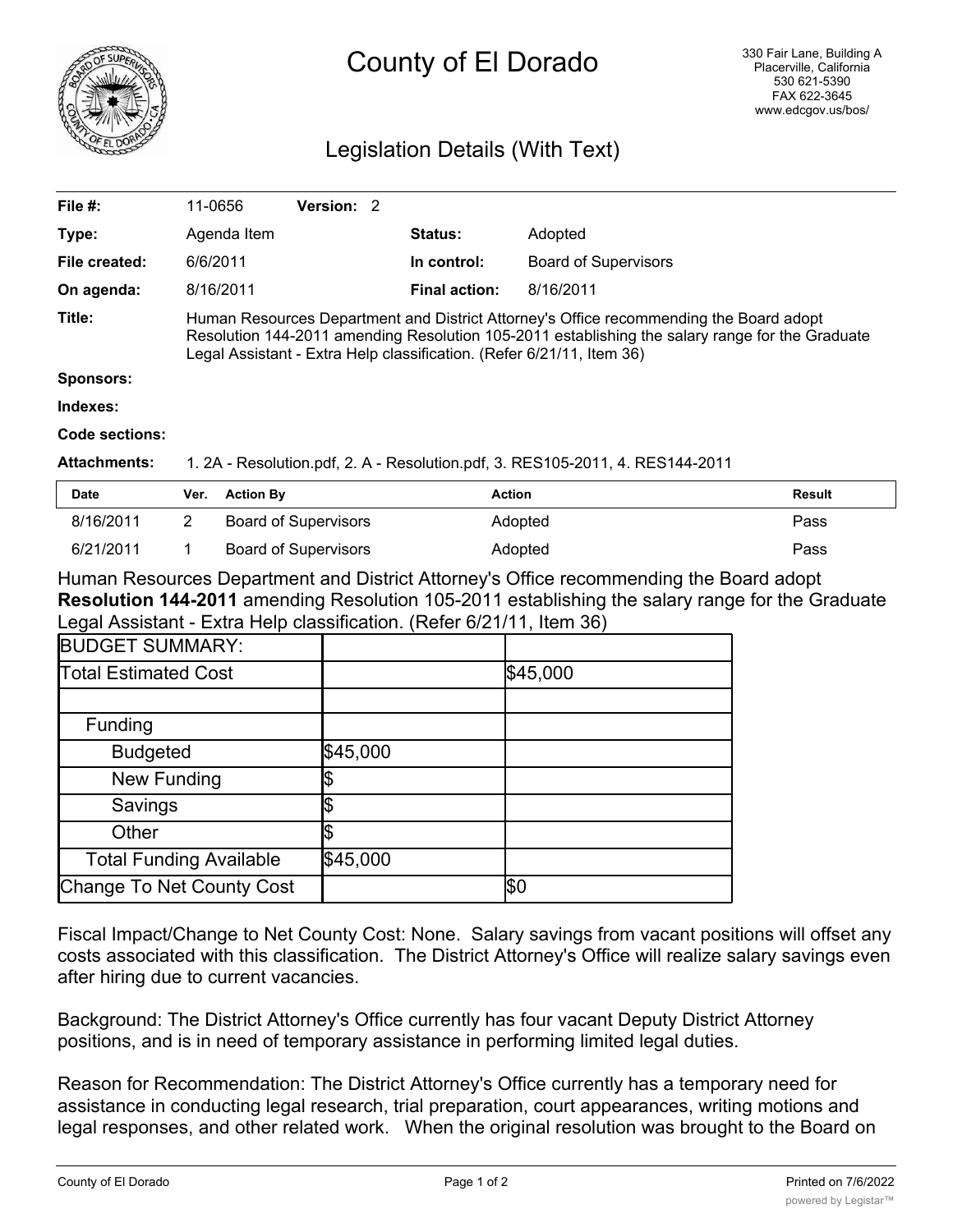

## County of El Dorado

## Legislation Details (With Text)

| File #:          | 11-0656                                                                                                                                                                                                                                                            | <b>Version: 2</b> |  |                      |                                                                              |
|------------------|--------------------------------------------------------------------------------------------------------------------------------------------------------------------------------------------------------------------------------------------------------------------|-------------------|--|----------------------|------------------------------------------------------------------------------|
| Type:            | Agenda Item                                                                                                                                                                                                                                                        |                   |  | <b>Status:</b>       | Adopted                                                                      |
| File created:    | 6/6/2011                                                                                                                                                                                                                                                           |                   |  | In control:          | <b>Board of Supervisors</b>                                                  |
| On agenda:       | 8/16/2011                                                                                                                                                                                                                                                          |                   |  | <b>Final action:</b> | 8/16/2011                                                                    |
| Title:           | Human Resources Department and District Attorney's Office recommending the Board adopt<br>Resolution 144-2011 amending Resolution 105-2011 establishing the salary range for the Graduate<br>Legal Assistant - Extra Help classification. (Refer 6/21/11, Item 36) |                   |  |                      |                                                                              |
| <b>Sponsors:</b> |                                                                                                                                                                                                                                                                    |                   |  |                      |                                                                              |
| Indexes:         |                                                                                                                                                                                                                                                                    |                   |  |                      |                                                                              |
| Code sections:   |                                                                                                                                                                                                                                                                    |                   |  |                      |                                                                              |
| Attochmonte:     |                                                                                                                                                                                                                                                                    |                   |  |                      | 1.30. Peoplution pdf, 3. A. Peoplution pdf, 3. PEC105, 2014. 4. PEC144, 2011 |

## **Attachments:** 1. 2A - Resolution.pdf, 2. A - Resolution.pdf, 3. RES105-2011, 4. RES144-2011

| <b>Date</b> | Ver. Action By              | <b>Action</b> | Result |
|-------------|-----------------------------|---------------|--------|
| 8/16/2011   | Board of Supervisors        | Adopted       | Pass   |
| 6/21/2011   | <b>Board of Supervisors</b> | Adopted       | Pass   |

Human Resources Department and District Attorney's Office recommending the Board adopt **Resolution 144-2011** amending Resolution 105-2011 establishing the salary range for the Graduate Legal Assistant - Extra Help classification. (Refer 6/21/11, Item 36)

| <b>BUDGET SUMMARY:</b>         |          |          |
|--------------------------------|----------|----------|
| <b>Total Estimated Cost</b>    |          | \$45,000 |
|                                |          |          |
| Funding                        |          |          |
| <b>Budgeted</b>                | \$45,000 |          |
| New Funding                    |          |          |
| Savings                        |          |          |
| Other                          |          |          |
| <b>Total Funding Available</b> | \$45,000 |          |
| Change To Net County Cost      |          | \$0      |

Fiscal Impact/Change to Net County Cost: None. Salary savings from vacant positions will offset any costs associated with this classification. The District Attorney's Office will realize salary savings even after hiring due to current vacancies.

Background: The District Attorney's Office currently has four vacant Deputy District Attorney positions, and is in need of temporary assistance in performing limited legal duties.

Reason for Recommendation: The District Attorney's Office currently has a temporary need for assistance in conducting legal research, trial preparation, court appearances, writing motions and legal responses, and other related work. When the original resolution was brought to the Board on